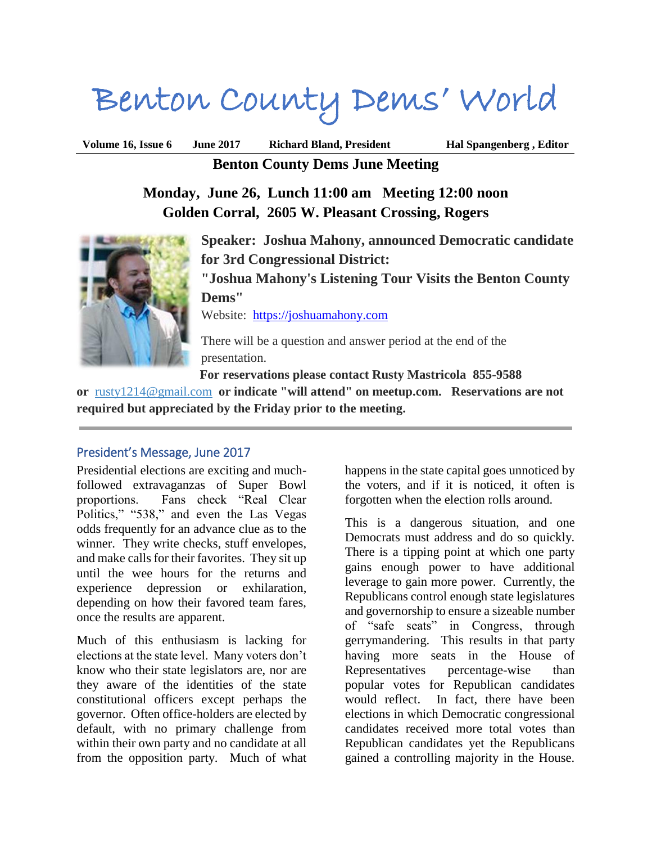# Benton County Dems' World

**Volume 16, Issue 6 June 2017 Richard Bland, President Hal Spangenberg , Editor Benton County Dems June Meeting**

> **Monday, June 26, Lunch 11:00 am Meeting 12:00 noon Golden Corral, 2605 W. Pleasant Crossing, Rogers**



**Speaker: Joshua Mahony, announced Democratic candidate for 3rd Congressional District:**

**"Joshua Mahony's Listening Tour Visits the Benton County Dems"**

Website: [https://joshuamahony.com](https://joshuamahony.com/)

There will be a question and answer period at the end of the presentation.

**For reservations please contact Rusty Mastricola 855-9588** 

**or** [rusty1214@gmail.com](mailto:rusty1214@gmail.com?subject=BC%20Dems%20Meeting%20Reservation) **or indicate "will attend" on meetup.com. Reservations are not required but appreciated by the Friday prior to the meeting.**

## President's Message, June 2017

Presidential elections are exciting and muchfollowed extravaganzas of Super Bowl proportions. Fans check "Real Clear Politics," "538," and even the Las Vegas odds frequently for an advance clue as to the winner. They write checks, stuff envelopes, and make calls for their favorites. They sit up until the wee hours for the returns and experience depression or exhilaration, depending on how their favored team fares, once the results are apparent.

Much of this enthusiasm is lacking for elections at the state level. Many voters don't know who their state legislators are, nor are they aware of the identities of the state constitutional officers except perhaps the governor. Often office-holders are elected by default, with no primary challenge from within their own party and no candidate at all from the opposition party. Much of what

happens in the state capital goes unnoticed by the voters, and if it is noticed, it often is forgotten when the election rolls around.

This is a dangerous situation, and one Democrats must address and do so quickly. There is a tipping point at which one party gains enough power to have additional leverage to gain more power. Currently, the Republicans control enough state legislatures and governorship to ensure a sizeable number of "safe seats" in Congress, through gerrymandering. This results in that party having more seats in the House of Representatives percentage-wise than popular votes for Republican candidates would reflect. In fact, there have been elections in which Democratic congressional candidates received more total votes than Republican candidates yet the Republicans gained a controlling majority in the House.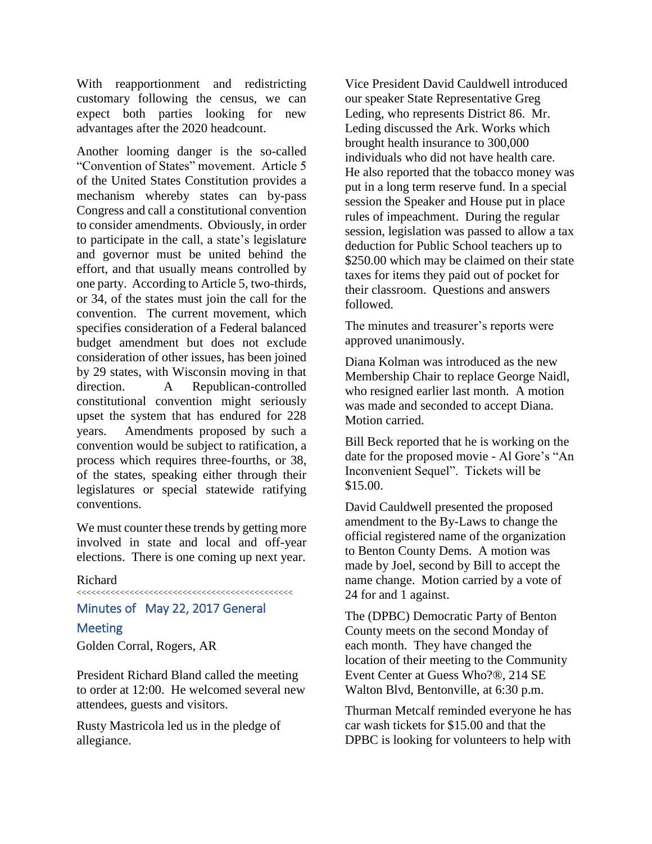With reapportionment and redistricting customary following the census, we can expect both parties looking for new advantages after the 2020 headcount.

Another looming danger is the so-called "Convention of States" movement. Article 5 of the United States Constitution provides a mechanism whereby states can by-pass Congress and call a constitutional convention to consider amendments. Obviously, in order to participate in the call, a state's legislature and governor must be united behind the effort, and that usually means controlled by one party. According to Article 5, two-thirds, or 34, of the states must join the call for the convention. The current movement, which specifies consideration of a Federal balanced budget amendment but does not exclude consideration of other issues, has been joined by 29 states, with Wisconsin moving in that direction. A Republican-controlled constitutional convention might seriously upset the system that has endured for 228 years. Amendments proposed by such a convention would be subject to ratification, a process which requires three-fourths, or 38, of the states, speaking either through their legislatures or special statewide ratifying conventions.

We must counter these trends by getting more involved in state and local and off-year elections. There is one coming up next year.

#### Richard

<<<<<<<<<<<<<<<<<<<<<<<<<<<<<<<<<<<<<<<<<<<<<

# Minutes of May 22, 2017 General

#### **Meeting**

Golden Corral, Rogers, AR

President Richard Bland called the meeting to order at 12:00. He welcomed several new attendees, guests and visitors.

Rusty Mastricola led us in the pledge of allegiance.

Vice President David Cauldwell introduced our speaker State Representative Greg Leding, who represents District 86. Mr. Leding discussed the Ark. Works which brought health insurance to 300,000 individuals who did not have health care. He also reported that the tobacco money was put in a long term reserve fund. In a special session the Speaker and House put in place rules of impeachment. During the regular session, legislation was passed to allow a tax deduction for Public School teachers up to \$250.00 which may be claimed on their state taxes for items they paid out of pocket for their classroom. Questions and answers followed.

The minutes and treasurer's reports were approved unanimously.

Diana Kolman was introduced as the new Membership Chair to replace George Naidl, who resigned earlier last month. A motion was made and seconded to accept Diana. Motion carried.

Bill Beck reported that he is working on the date for the proposed movie - Al Gore's "An Inconvenient Sequel". Tickets will be \$15.00.

David Cauldwell presented the proposed amendment to the By-Laws to change the official registered name of the organization to Benton County Dems. A motion was made by Joel, second by Bill to accept the name change. Motion carried by a vote of 24 for and 1 against.

The (DPBC) Democratic Party of Benton County meets on the second Monday of each month. They have changed the location of their meeting to the Community Event Center at Guess Who?®, 214 SE Walton Blvd, Bentonville, at 6:30 p.m.

Thurman Metcalf reminded everyone he has car wash tickets for \$15.00 and that the DPBC is looking for volunteers to help with